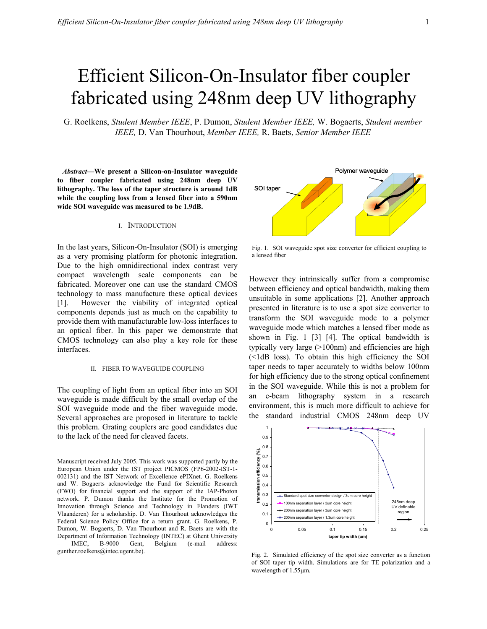# Efficient Silicon-On-Insulator fiber coupler fabricated using 248nm deep UV lithography

G. Roelkens, *Student Member IEEE*, P. Dumon, *Student Member IEEE,* W. Bogaerts, *Student member IEEE,* D. Van Thourhout, *Member IEEE,* R. Baets, *Senior Member IEEE* 

 *Abstract***—We present a Silicon-on-Insulator waveguide to fiber coupler fabricated using 248nm deep UV lithography. The loss of the taper structure is around 1dB while the coupling loss from a lensed fiber into a 590nm wide SOI waveguide was measured to be 1.9dB.**

## I. INTRODUCTION

In the last years, Silicon-On-Insulator (SOI) is emerging as a very promising platform for photonic integration. Due to the high omnidirectional index contrast very compact wavelength scale components can be fabricated. Moreover one can use the standard CMOS technology to mass manufacture these optical devices [1]. However the viability of integrated optical components depends just as much on the capability to provide them with manufacturable low-loss interfaces to an optical fiber. In this paper we demonstrate that CMOS technology can also play a key role for these interfaces.

## II. FIBER TO WAVEGUIDE COUPLING

The coupling of light from an optical fiber into an SOI waveguide is made difficult by the small overlap of the SOI waveguide mode and the fiber waveguide mode. Several approaches are proposed in literature to tackle this problem. Grating couplers are good candidates due to the lack of the need for cleaved facets.

Manuscript received July 2005. This work was supported partly by the European Union under the IST project PICMOS (FP6-2002-IST-1- 002131) and the IST Network of Excellence ePIXnet. G. Roelkens and W. Bogaerts acknowledge the Fund for Scientific Research (FWO) for financial support and the support of the IAP-Photon network. P. Dumon thanks the Institute for the Promotion of Innovation through Science and Technology in Flanders (IWT Vlaanderen) for a scholarship. D. Van Thourhout acknowledges the Federal Science Policy Office for a return grant. G. Roelkens, P. Dumon, W. Bogaerts, D. Van Thourhout and R. Baets are with the Department of Information Technology (INTEC) at Ghent University – IMEC, B-9000 Gent, Belgium (e-mail address: gunther.roelkens@intec.ugent.be).



Fig. 1. SOI waveguide spot size converter for efficient coupling to a lensed fiber

However they intrinsically suffer from a compromise between efficiency and optical bandwidth, making them unsuitable in some applications [2]. Another approach presented in literature is to use a spot size converter to transform the SOI waveguide mode to a polymer waveguide mode which matches a lensed fiber mode as shown in Fig. 1 [3] [4]. The optical bandwidth is typically very large (>100nm) and efficiencies are high (<1dB loss). To obtain this high efficiency the SOI taper needs to taper accurately to widths below 100nm for high efficiency due to the strong optical confinement in the SOI waveguide. While this is not a problem for an e-beam lithography system in a research environment, this is much more difficult to achieve for the standard industrial CMOS 248nm deep UV



Fig. 2. Simulated efficiency of the spot size converter as a function of SOI taper tip width. Simulations are for TE polarization and a wavelength of 1.55µm.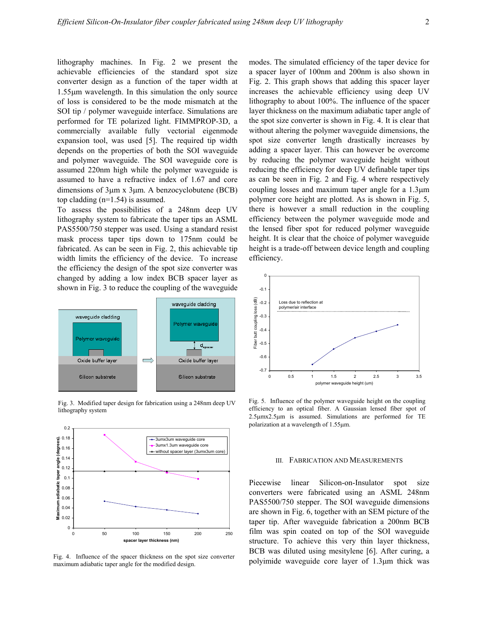lithography machines. In Fig. 2 we present the achievable efficiencies of the standard spot size converter design as a function of the taper width at 1.55µm wavelength. In this simulation the only source of loss is considered to be the mode mismatch at the SOI tip / polymer waveguide interface. Simulations are performed for TE polarized light. FIMMPROP-3D, a commercially available fully vectorial eigenmode expansion tool, was used [5]. The required tip width depends on the properties of both the SOI waveguide and polymer waveguide. The SOI waveguide core is assumed 220nm high while the polymer waveguide is assumed to have a refractive index of 1.67 and core dimensions of 3µm x 3µm. A benzocyclobutene (BCB) top cladding (n=1.54) is assumed.

To assess the possibilities of a 248nm deep UV lithography system to fabricate the taper tips an ASML PAS5500/750 stepper was used. Using a standard resist mask process taper tips down to 175nm could be fabricated. As can be seen in Fig. 2, this achievable tip width limits the efficiency of the device. To increase the efficiency the design of the spot size converter was changed by adding a low index BCB spacer layer as shown in Fig. 3 to reduce the coupling of the waveguide



Fig. 3. Modified taper design for fabrication using a 248nm deep UV lithography system



Fig. 4. Influence of the spacer thickness on the spot size converter maximum adiabatic taper angle for the modified design.

modes. The simulated efficiency of the taper device for a spacer layer of 100nm and 200nm is also shown in Fig. 2. This graph shows that adding this spacer layer increases the achievable efficiency using deep UV lithography to about 100%. The influence of the spacer layer thickness on the maximum adiabatic taper angle of the spot size converter is shown in Fig. 4. It is clear that without altering the polymer waveguide dimensions, the spot size converter length drastically increases by adding a spacer layer. This can however be overcome by reducing the polymer waveguide height without reducing the efficiency for deep UV definable taper tips as can be seen in Fig. 2 and Fig. 4 where respectively coupling losses and maximum taper angle for a 1.3µm polymer core height are plotted. As is shown in Fig. 5, there is however a small reduction in the coupling efficiency between the polymer waveguide mode and the lensed fiber spot for reduced polymer waveguide height. It is clear that the choice of polymer waveguide height is a trade-off between device length and coupling efficiency.



Fig. 5. Influence of the polymer waveguide height on the coupling efficiency to an optical fiber. A Gaussian lensed fiber spot of 2.5µmx2.5µm is assumed. Simulations are performed for TE polarization at a wavelength of 1.55µm.

#### III. FABRICATION AND MEASUREMENTS

Piecewise linear Silicon-on-Insulator spot size converters were fabricated using an ASML 248nm PAS5500/750 stepper. The SOI waveguide dimensions are shown in Fig. 6, together with an SEM picture of the taper tip. After waveguide fabrication a 200nm BCB film was spin coated on top of the SOI waveguide structure. To achieve this very thin layer thickness, BCB was diluted using mesitylene [6]. After curing, a polyimide waveguide core layer of 1.3µm thick was